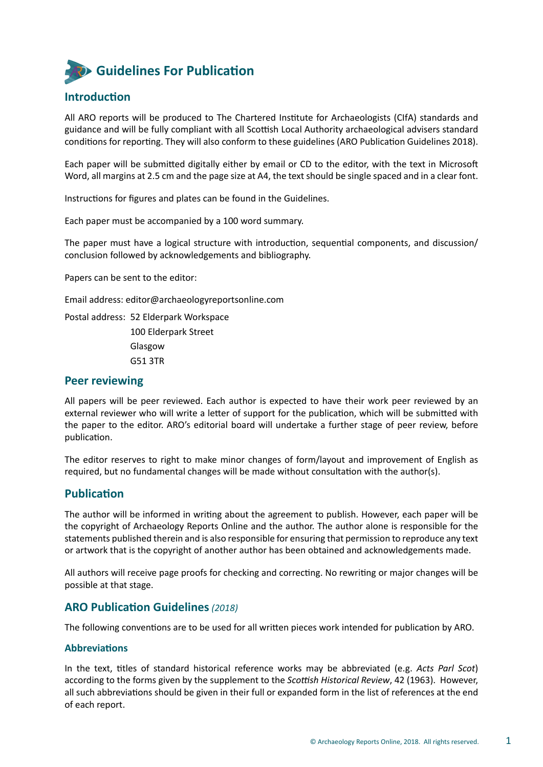# **Guidelines For Publication**

# **Introduction**

All ARO reports will be produced to The Chartered Institute for Archaeologists (CIfA) standards and guidance and will be fully compliant with all Scottish Local Authority archaeological advisers standard conditions for reporting. They will also conform to these guidelines (ARO Publication Guidelines 2018).

Each paper will be submitted digitally either by email or CD to the editor, with the text in Microsoft Word, all margins at 2.5 cm and the page size at A4, the text should be single spaced and in a clear font.

Instructions for figures and plates can be found in the Guidelines.

Each paper must be accompanied by a 100 word summary.

The paper must have a logical structure with introduction, sequential components, and discussion/ conclusion followed by acknowledgements and bibliography.

Papers can be sent to the editor:

Email address: editor@archaeologyreportsonline.com

Postal address: 52 Elderpark Workspace 100 Elderpark Street Glasgow G51 3TR

# **Peer reviewing**

All papers will be peer reviewed. Each author is expected to have their work peer reviewed by an external reviewer who will write a letter of support for the publication, which will be submitted with the paper to the editor. ARO's editorial board will undertake a further stage of peer review, before publication.

The editor reserves to right to make minor changes of form/layout and improvement of English as required, but no fundamental changes will be made without consultation with the author(s).

# **Publication**

The author will be informed in writing about the agreement to publish. However, each paper will be the copyright of Archaeology Reports Online and the author. The author alone is responsible for the statements published therein and is also responsible for ensuring that permission to reproduce any text or artwork that is the copyright of another author has been obtained and acknowledgements made.

All authors will receive page proofs for checking and correcting. No rewriting or major changes will be possible at that stage.

# **ARO Publication Guidelines** *(2018)*

The following conventions are to be used for all written pieces work intended for publication by ARO.

# **Abbreviations**

In the text, titles of standard historical reference works may be abbreviated (e.g. *Acts Parl Scot*) according to the forms given by the supplement to the *Scottish Historical Review*, 42 (1963). However, all such abbreviations should be given in their full or expanded form in the list of references at the end of each report.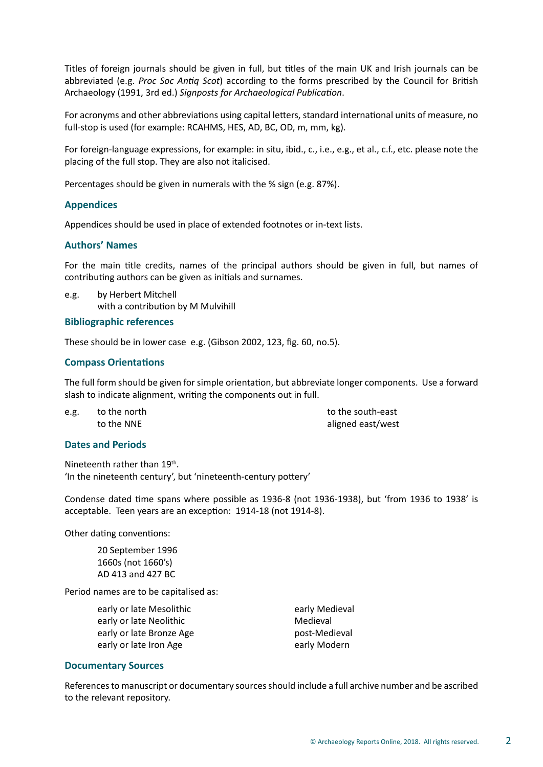Titles of foreign journals should be given in full, but titles of the main UK and Irish journals can be abbreviated (e.g. *Proc Soc Antiq Scot*) according to the forms prescribed by the Council for British Archaeology (1991, 3rd ed.) *Signposts for Archaeological Publication*.

For acronyms and other abbreviations using capital letters, standard international units of measure, no full-stop is used (for example: RCAHMS, HES, AD, BC, OD, m, mm, kg).

For foreign-language expressions, for example: in situ, ibid., c., i.e., e.g., et al., c.f., etc. please note the placing of the full stop. They are also not italicised.

Percentages should be given in numerals with the % sign (e.g. 87%).

# **Appendices**

Appendices should be used in place of extended footnotes or in-text lists.

# **Authors' Names**

For the main title credits, names of the principal authors should be given in full, but names of contributing authors can be given as initials and surnames.

e.g. by Herbert Mitchell with a contribution by M Mulvihill

# **Bibliographic references**

These should be in lower case e.g. (Gibson 2002, 123, fig. 60, no.5).

# **Compass Orientations**

The full form should be given for simple orientation, but abbreviate longer components. Use a forward slash to indicate alignment, writing the components out in full.

e.g. to the north to the south-east

to the NNE aligned east/west

# **Dates and Periods**

Nineteenth rather than 19<sup>th</sup>. 'In the nineteenth century', but 'nineteenth-century pottery'

Condense dated time spans where possible as 1936-8 (not 1936-1938), but 'from 1936 to 1938' is acceptable. Teen years are an exception: 1914-18 (not 1914-8).

Other dating conventions:

20 September 1996 1660s (not 1660's) AD 413 and 427 BC

Period names are to be capitalised as:

early or late Mesolithic early Medieval early or late Neolithic **Medieval** Medieval early or late Bronze Age post-Medieval early or late Iron Age early Modern

# **Documentary Sources**

References to manuscript or documentary sources should include a full archive number and be ascribed to the relevant repository.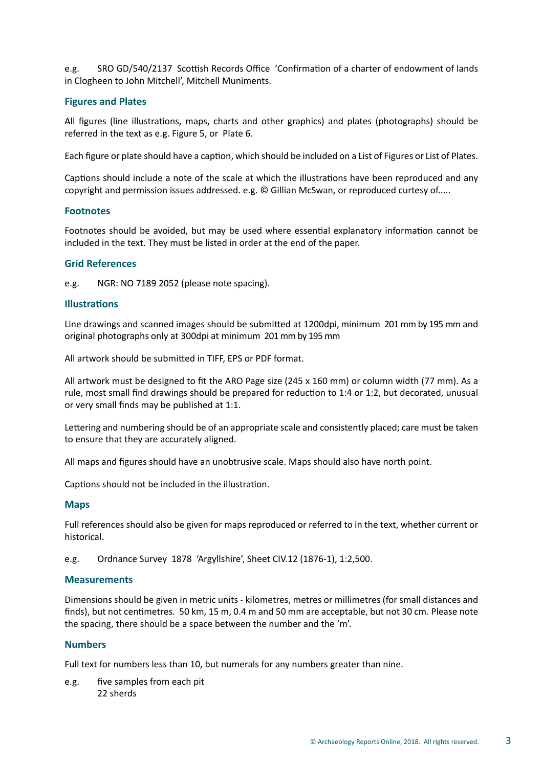e.g. SRO GD/540/2137 Scottish Records Office 'Confirmation of a charter of endowment of lands in Clogheen to John Mitchell', Mitchell Muniments.

# **Figures and Plates**

All figures (line illustrations, maps, charts and other graphics) and plates (photographs) should be referred in the text as e.g. Figure 5, or Plate 6.

Each figure or plate should have a caption, which should be included on a List of Figures or List of Plates.

Captions should include a note of the scale at which the illustrations have been reproduced and any copyright and permission issues addressed. e.g. © Gillian McSwan, or reproduced curtesy of.....

#### **Footnotes**

Footnotes should be avoided, but may be used where essential explanatory information cannot be included in the text. They must be listed in order at the end of the paper.

#### **Grid References**

e.g. NGR: NO 7189 2052 (please note spacing).

#### **Illustrations**

Line drawings and scanned images should be submitted at 1200dpi, minimum 201 mm by 195 mm and original photographs only at 300dpi at minimum 201 mm by 195 mm

All artwork should be submitted in TIFF, EPS or PDF format.

All artwork must be designed to fit the ARO Page size (245 x 160 mm) or column width (77 mm). As a rule, most small find drawings should be prepared for reduction to 1:4 or 1:2, but decorated, unusual or very small finds may be published at 1:1.

Lettering and numbering should be of an appropriate scale and consistently placed; care must be taken to ensure that they are accurately aligned.

All maps and figures should have an unobtrusive scale. Maps should also have north point.

Captions should not be included in the illustration.

#### **Maps**

Full references should also be given for maps reproduced or referred to in the text, whether current or historical.

e.g. Ordnance Survey 1878 'Argyllshire', Sheet CIV.12 (1876-1), 1:2,500.

# **Measurements**

Dimensions should be given in metric units - kilometres, metres or millimetres (for small distances and finds), but not centimetres. 50 km, 15 m, 0.4 m and 50 mm are acceptable, but not 30 cm. Please note the spacing, there should be a space between the number and the 'm'.

# **Numbers**

Full text for numbers less than 10, but numerals for any numbers greater than nine.

e.g. five samples from each pit 22 sherds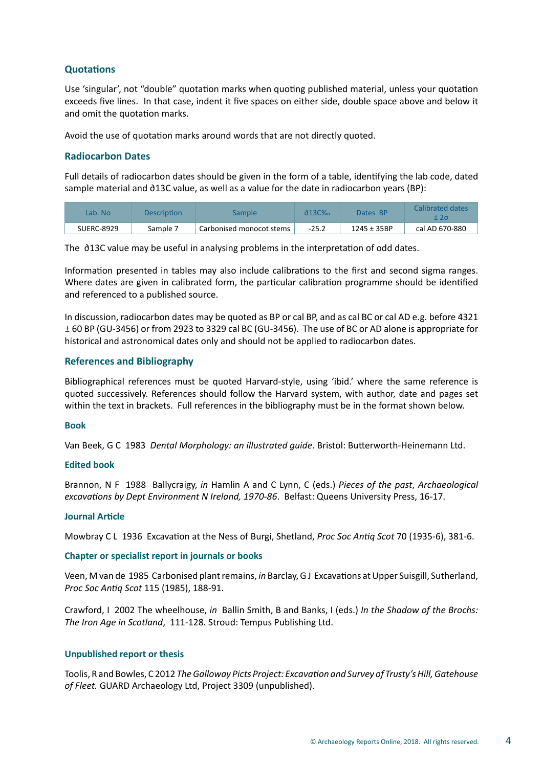# **Quotations**

Use 'singular', not "double" quotation marks when quoting published material, unless your quotation exceeds five lines. In that case, indent it five spaces on either side, double space above and below it and omit the quotation marks.

Avoid the use of quotation marks around words that are not directly quoted.

# **Radiocarbon Dates**

Full details of radiocarbon dates should be given in the form of a table, identifying the lab code, dated sample material and ∂13C value, as well as a value for the date in radiocarbon years (BP):

| Lab. No           | <b>Description</b> | sample                   | <u>ሕ13ር‰</u> | Dates BP        | Calibrated dates |
|-------------------|--------------------|--------------------------|--------------|-----------------|------------------|
| <b>SUERC-8929</b> | Sample 7           | Carbonised monocot stems | $-25.2$      | $1245 \pm 35BP$ | cal AD 670-880   |

The ∂13C value may be useful in analysing problems in the interpretation of odd dates.

Information presented in tables may also include calibrations to the first and second sigma ranges. Where dates are given in calibrated form, the particular calibration programme should be identified and referenced to a published source.

In discussion, radiocarbon dates may be quoted as BP or cal BP, and as cal BC or cal AD e.g. before 4321 ± 60 BP (GU-3456) or from 2923 to 3329 cal BC (GU-3456). The use of BC or AD alone is appropriate for historical and astronomical dates only and should not be applied to radiocarbon dates.

# **References and Bibliography**

Bibliographical references must be quoted Harvard-style, using 'ibid.' where the same reference is quoted successively. References should follow the Harvard system, with author, date and pages set within the text in brackets. Full references in the bibliography must be in the format shown below.

# **Book**

Van Beek, G C 1983 *Dental Morphology: an illustrated guide*. Bristol: Butterworth-Heinemann Ltd.

# **Edited book**

Brannon, N F 1988 Ballycraigy, *in* Hamlin A and C Lynn, C (eds.) *Pieces of the past*, *Archaeological excavations by Dept Environment N Ireland, 1970-86*. Belfast: Queens University Press, 16-17.

#### **Journal Article**

Mowbray C L 1936 Excavation at the Ness of Burgi, Shetland, *Proc Soc Antiq Scot* 70 (1935-6), 381-6.

# **Chapter or specialist report in journals or books**

Veen, M van de 1985 Carbonised plant remains, *in* Barclay, G J Excavations at Upper Suisgill, Sutherland, *Proc Soc Antiq Scot* 115 (1985), 188-91.

Crawford, I 2002 The wheelhouse, *in* Ballin Smith, B and Banks, I (eds.) *In the Shadow of the Brochs: The Iron Age in Scotland*, 111-128. Stroud: Tempus Publishing Ltd.

#### **Unpublished report or thesis**

Toolis, R and Bowles, C 2012 *The Galloway Picts Project: Excavation and Survey of Trusty's Hill, Gatehouse of Fleet.* GUARD Archaeology Ltd, Project 3309 (unpublished).